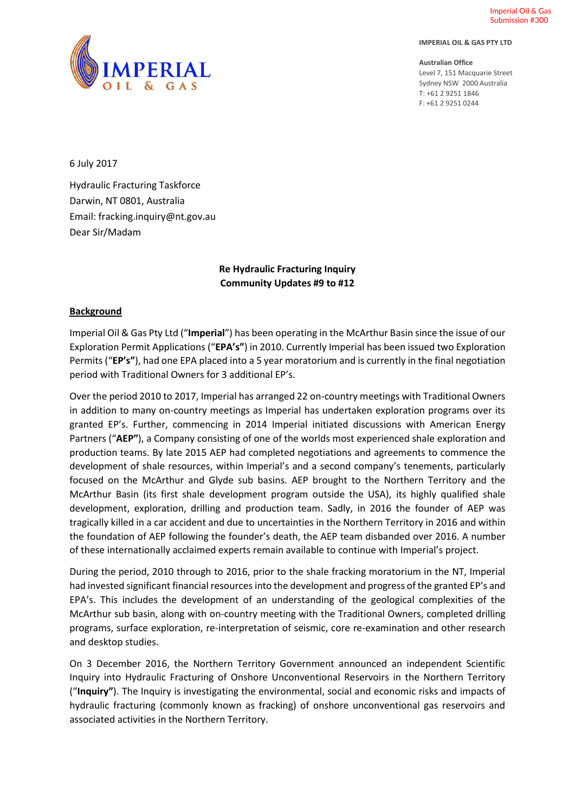Imperial Oil & Gas Submission #300





**Australian Office** Level 7, 151 Macquarie Street Sydney NSW 2000 Australia T: +61 2 9251 1846 F: +61 2 9251 0244

6 July 2017

Hydraulic Fracturing Taskforce Darwin, NT 0801, Australia Email: fracking.inquiry@nt.gov.au Dear Sir/Madam

# **Re Hydraulic Fracturing Inquiry Community Updates #9 to #12**

#### **Background**

Imperial Oil & Gas Pty Ltd ("**Imperial**") has been operating in the McArthur Basin since the issue of our Exploration Permit Applications ("**EPA's"**) in 2010. Currently Imperial has been issued two Exploration Permits ("**EP's"**), had one EPA placed into a 5 year moratorium and is currently in the final negotiation period with Traditional Owners for 3 additional EP's.

Over the period 2010 to 2017, Imperial has arranged 22 on-country meetings with Traditional Owners in addition to many on-country meetings as Imperial has undertaken exploration programs over its granted EP's. Further, commencing in 2014 Imperial initiated discussions with American Energy Partners ("**AEP"**), a Company consisting of one of the worlds most experienced shale exploration and production teams. By late 2015 AEP had completed negotiations and agreements to commence the development of shale resources, within Imperial's and a second company's tenements, particularly focused on the McArthur and Glyde sub basins. AEP brought to the Northern Territory and the McArthur Basin (its first shale development program outside the USA), its highly qualified shale development, exploration, drilling and production team. Sadly, in 2016 the founder of AEP was tragically killed in a car accident and due to uncertainties in the Northern Territory in 2016 and within the foundation of AEP following the founder's death, the AEP team disbanded over 2016. A number of these internationally acclaimed experts remain available to continue with Imperial's project.

During the period, 2010 through to 2016, prior to the shale fracking moratorium in the NT, Imperial had invested significant financial resources into the development and progress of the granted EP's and EPA's. This includes the development of an understanding of the geological complexities of the McArthur sub basin, along with on-country meeting with the Traditional Owners, completed drilling programs, surface exploration, re-interpretation of seismic, core re-examination and other research and desktop studies.

On 3 December 2016, the Northern Territory Government announced an independent Scientific Inquiry into Hydraulic Fracturing of Onshore Unconventional Reservoirs in the Northern Territory ("**Inquiry"**). The Inquiry is investigating the environmental, social and economic risks and impacts of hydraulic fracturing (commonly known as fracking) of onshore unconventional gas reservoirs and associated activities in the Northern Territory.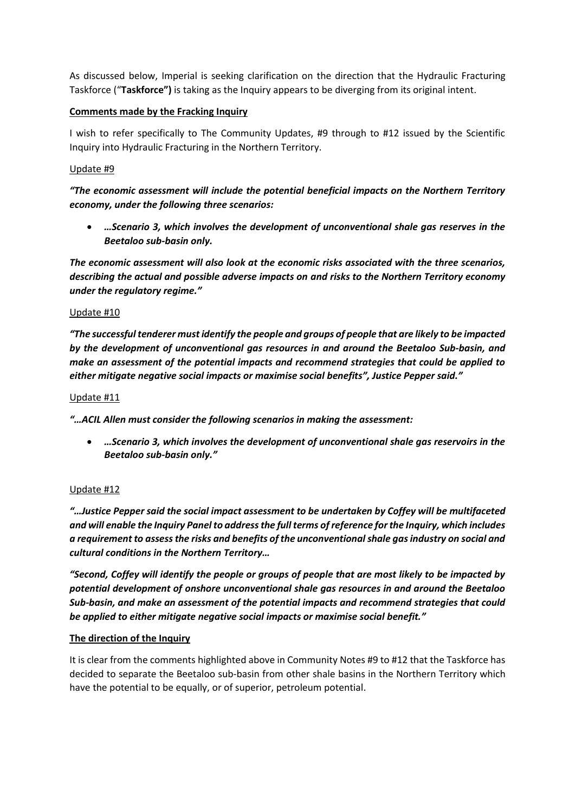As discussed below, Imperial is seeking clarification on the direction that the Hydraulic Fracturing Taskforce ("**Taskforce")** is taking as the Inquiry appears to be diverging from its original intent.

### **Comments made by the Fracking Inquiry**

I wish to refer specifically to The Community Updates, #9 through to #12 issued by the Scientific Inquiry into Hydraulic Fracturing in the Northern Territory.

### Update #9

*"The economic assessment will include the potential beneficial impacts on the Northern Territory economy, under the following three scenarios:*

• *…Scenario 3, which involves the development of unconventional shale gas reserves in the Beetaloo sub-basin only.*

*The economic assessment will also look at the economic risks associated with the three scenarios, describing the actual and possible adverse impacts on and risks to the Northern Territory economy under the regulatory regime."*

#### Update #10

*"The successful tenderer must identify the people and groups of people that are likely to be impacted by the development of unconventional gas resources in and around the Beetaloo Sub-basin, and make an assessment of the potential impacts and recommend strategies that could be applied to either mitigate negative social impacts or maximise social benefits", Justice Pepper said."*

#### Update #11

*"…ACIL Allen must consider the following scenarios in making the assessment:*

• *…Scenario 3, which involves the development of unconventional shale gas reservoirs in the Beetaloo sub-basin only."*

# Update #12

*"…Justice Pepper said the social impact assessment to be undertaken by Coffey will be multifaceted and will enable the Inquiry Panel to address the full terms of reference for the Inquiry, which includes a requirement to assess the risks and benefits of the unconventional shale gas industry on social and cultural conditions in the Northern Territory…*

*"Second, Coffey will identify the people or groups of people that are most likely to be impacted by potential development of onshore unconventional shale gas resources in and around the Beetaloo Sub-basin, and make an assessment of the potential impacts and recommend strategies that could be applied to either mitigate negative social impacts or maximise social benefit."*

# **The direction of the Inquiry**

It is clear from the comments highlighted above in Community Notes #9 to #12 that the Taskforce has decided to separate the Beetaloo sub-basin from other shale basins in the Northern Territory which have the potential to be equally, or of superior, petroleum potential.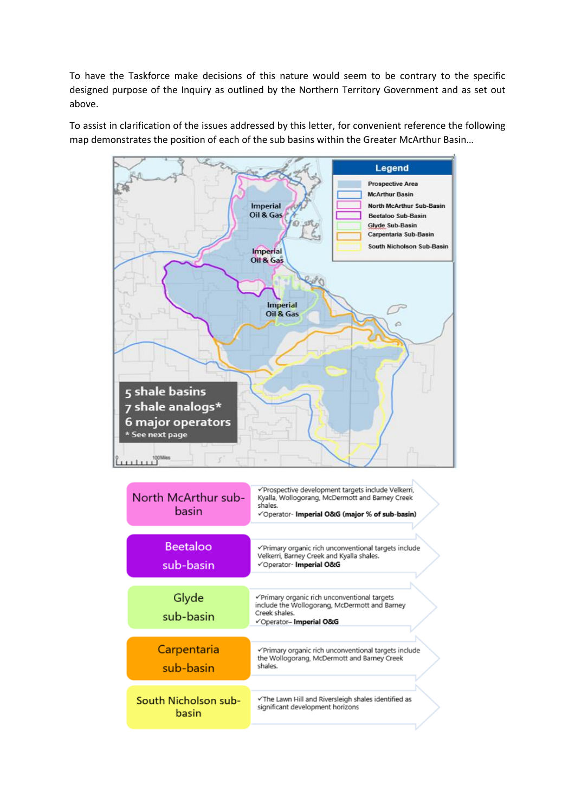To have the Taskforce make decisions of this nature would seem to be contrary to the specific designed purpose of the Inquiry as outlined by the Northern Territory Government and as set out above.

To assist in clarification of the issues addressed by this letter, for convenient reference the following map demonstrates the position of each of the sub basins within the Greater McArthur Basin…

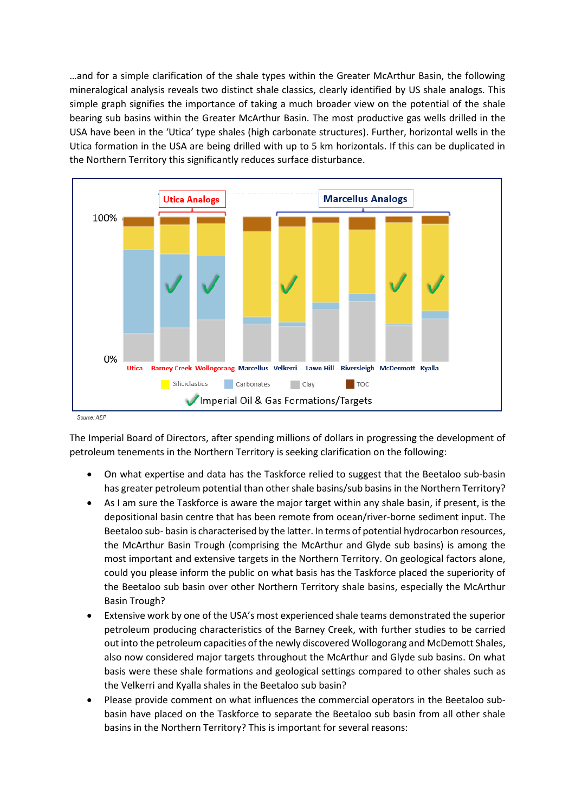…and for a simple clarification of the shale types within the Greater McArthur Basin, the following mineralogical analysis reveals two distinct shale classics, clearly identified by US shale analogs. This simple graph signifies the importance of taking a much broader view on the potential of the shale bearing sub basins within the Greater McArthur Basin. The most productive gas wells drilled in the USA have been in the 'Utica' type shales (high carbonate structures). Further, horizontal wells in the Utica formation in the USA are being drilled with up to 5 km horizontals. If this can be duplicated in the Northern Territory this significantly reduces surface disturbance.



Source: AEP

The Imperial Board of Directors, after spending millions of dollars in progressing the development of petroleum tenements in the Northern Territory is seeking clarification on the following:

- On what expertise and data has the Taskforce relied to suggest that the Beetaloo sub-basin has greater petroleum potential than other shale basins/sub basins in the Northern Territory?
- As I am sure the Taskforce is aware the major target within any shale basin, if present, is the depositional basin centre that has been remote from ocean/river-borne sediment input. The Beetaloo sub- basin is characterised by the latter. In terms of potential hydrocarbon resources, the McArthur Basin Trough (comprising the McArthur and Glyde sub basins) is among the most important and extensive targets in the Northern Territory. On geological factors alone, could you please inform the public on what basis has the Taskforce placed the superiority of the Beetaloo sub basin over other Northern Territory shale basins, especially the McArthur Basin Trough?
- Extensive work by one of the USA's most experienced shale teams demonstrated the superior petroleum producing characteristics of the Barney Creek, with further studies to be carried out into the petroleum capacities of the newly discovered Wollogorang and McDemott Shales, also now considered major targets throughout the McArthur and Glyde sub basins. On what basis were these shale formations and geological settings compared to other shales such as the Velkerri and Kyalla shales in the Beetaloo sub basin?
- Please provide comment on what influences the commercial operators in the Beetaloo subbasin have placed on the Taskforce to separate the Beetaloo sub basin from all other shale basins in the Northern Territory? This is important for several reasons: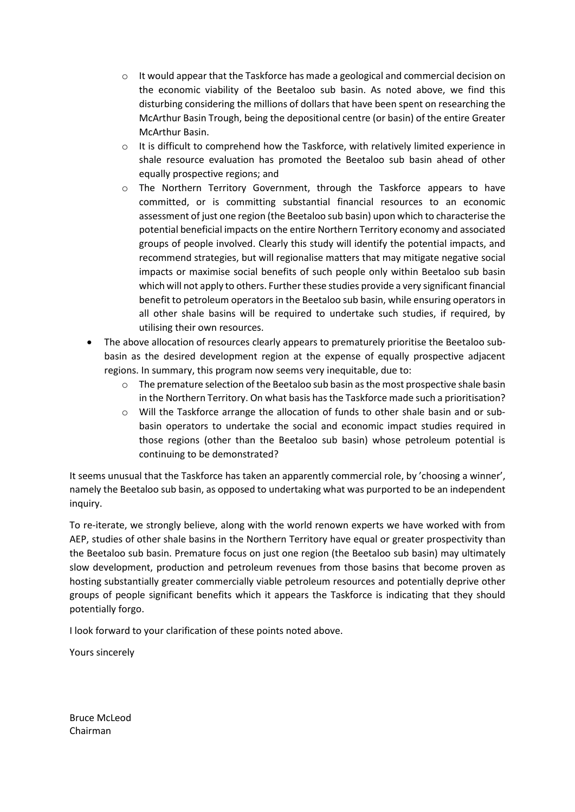- $\circ$  It would appear that the Taskforce has made a geological and commercial decision on the economic viability of the Beetaloo sub basin. As noted above, we find this disturbing considering the millions of dollars that have been spent on researching the McArthur Basin Trough, being the depositional centre (or basin) of the entire Greater McArthur Basin.
- o It is difficult to comprehend how the Taskforce, with relatively limited experience in shale resource evaluation has promoted the Beetaloo sub basin ahead of other equally prospective regions; and
- o The Northern Territory Government, through the Taskforce appears to have committed, or is committing substantial financial resources to an economic assessment of just one region (the Beetaloo sub basin) upon which to characterise the potential beneficial impacts on the entire Northern Territory economy and associated groups of people involved. Clearly this study will identify the potential impacts, and recommend strategies, but will regionalise matters that may mitigate negative social impacts or maximise social benefits of such people only within Beetaloo sub basin which will not apply to others. Further these studies provide a very significant financial benefit to petroleum operators in the Beetaloo sub basin, while ensuring operators in all other shale basins will be required to undertake such studies, if required, by utilising their own resources.
- The above allocation of resources clearly appears to prematurely prioritise the Beetaloo subbasin as the desired development region at the expense of equally prospective adjacent regions. In summary, this program now seems very inequitable, due to:
	- $\circ$  The premature selection of the Beetaloo sub basin as the most prospective shale basin in the Northern Territory. On what basis hasthe Taskforce made such a prioritisation?
	- o Will the Taskforce arrange the allocation of funds to other shale basin and or subbasin operators to undertake the social and economic impact studies required in those regions (other than the Beetaloo sub basin) whose petroleum potential is continuing to be demonstrated?

It seems unusual that the Taskforce has taken an apparently commercial role, by 'choosing a winner', namely the Beetaloo sub basin, as opposed to undertaking what was purported to be an independent inquiry.

To re-iterate, we strongly believe, along with the world renown experts we have worked with from AEP, studies of other shale basins in the Northern Territory have equal or greater prospectivity than the Beetaloo sub basin. Premature focus on just one region (the Beetaloo sub basin) may ultimately slow development, production and petroleum revenues from those basins that become proven as hosting substantially greater commercially viable petroleum resources and potentially deprive other groups of people significant benefits which it appears the Taskforce is indicating that they should potentially forgo.

I look forward to your clarification of these points noted above.

Yours sincerely

Bruce McLeod Chairman